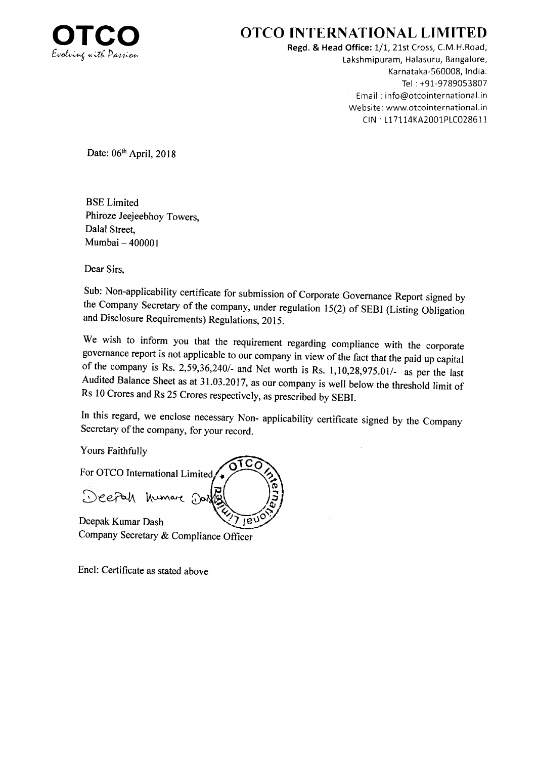

## OTCO INTERNATIONAL LIMITED

Regd. & Head Office: 1/1, 21st Cross, C.M.H.Road, Lakshmipuram, Halasuru, Bangalore, Karnataka-560008, lndia. Tel : +91-9789053807 Email : info@otcointernational.in Website: www.otcointernational.in ctN' 1171 14KA2001P1C02861 i

Date: 06th April, 2018

BSE Limited Phiroze Jeejeebhoy Towers, Dalal Street. Mumbai - <sup>400001</sup>

Dear Sirs,

Sub: Non-applicability certificate for submission of corporate Governance Report signed by the company Secretary of the company, under regulation l5(2) of SEBI (Listing obligation and Disclosure Requirements) Regulations, 2015.

We wish to inform you that the requirement regarding compliance with the corporate governance report is not applicable to our company in view of the fact that the paid up capital of the company is Rs. 2,59,36,240/- and Net worth is Rs. 1,10,28,975.01/- as per the last Audited Balance Sheet as at 31.03.2017, as our company is well below the threshold limit of Rs 10 Crores and Rs 25 Crores respectively, as prescribed by SEBI.

In this regard, we enclose necessary Non- applicability certificate signed by the Company Secretary of the company, for your record.

> o o

 $\tilde{\bf{z}}$ J

Yours Faithfully

For OTCO International Limited Deefah humare Dai  $c<sub>f</sub>$ 

Deepak Kumar Dash Company Secretary & Compliance Officer  $180$ 

Encl: Certificate as stated above